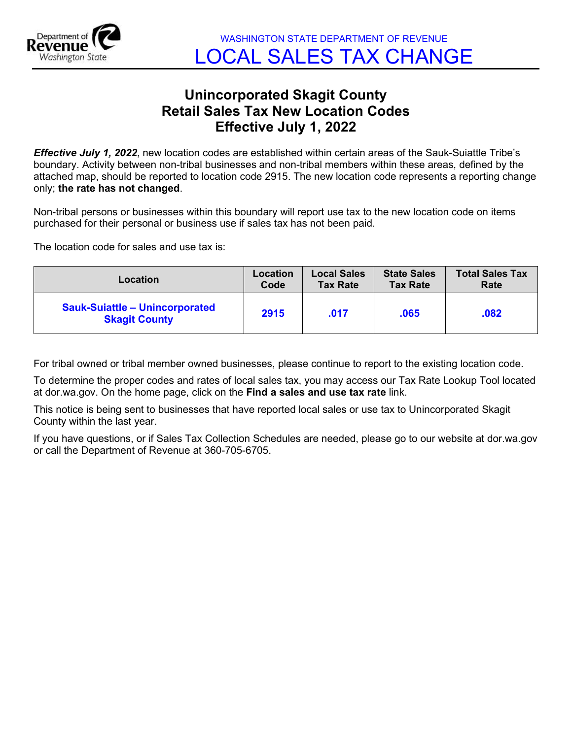

## **Unincorporated Skagit County Retail Sales Tax New Location Codes Effective July 1, 2022**

*Effective July 1, 2022*, new location codes are established within certain areas of the Sauk-Suiattle Tribe's boundary. Activity between non-tribal businesses and non-tribal members within these areas, defined by the attached map, should be reported to location code 2915. The new location code represents a reporting change only; **the rate has not changed**.

Non-tribal persons or businesses within this boundary will report use tax to the new location code on items purchased for their personal or business use if sales tax has not been paid.

The location code for sales and use tax is:

| Location                                                      | Location | <b>Local Sales</b> | <b>State Sales</b> | <b>Total Sales Tax</b> |
|---------------------------------------------------------------|----------|--------------------|--------------------|------------------------|
|                                                               | Code     | <b>Tax Rate</b>    | <b>Tax Rate</b>    | Rate                   |
| <b>Sauk-Suiattle - Unincorporated</b><br><b>Skagit County</b> | 2915     | .017               | .065               | .082                   |

For tribal owned or tribal member owned businesses, please continue to report to the existing location code.

To determine the proper codes and rates of local sales tax, you may access our Tax Rate Lookup Tool located at dor.wa.gov. On the home page, click on the **Find a sales and use tax rate** link.

This notice is being sent to businesses that have reported local sales or use tax to Unincorporated Skagit County within the last year.

If you have questions, or if Sales Tax Collection Schedules are needed, please go to our website at dor.wa.gov or call the Department of Revenue at 360-705-6705.